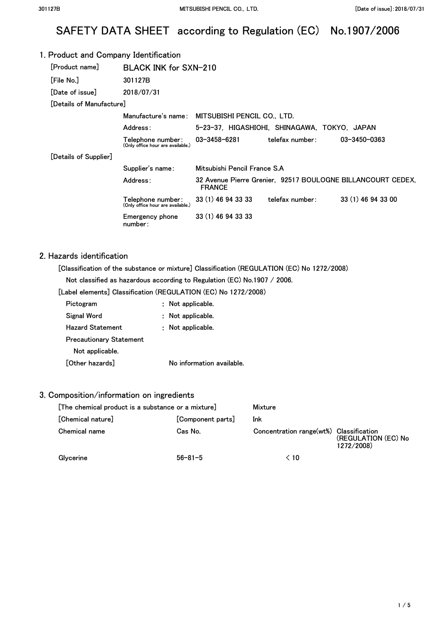# SAFETY DATA SHEET according to Regulation (EC) No.1907/2006

#### 1. Product and Company Identification [Product name] [File No.] [Date of issue] BLACK INK for SXN-210 301127B 2018/07/31 [Details of Manufacture] Manufacture's name: MITSUBISHI PENCIL CO., LTD. Address: 5-23-37, HIGASHIOHI, SHINAGAWA, TOKYO, JAPAN [Details of Supplier] Telephone number: 03-3458-6281 **(Only office hour are available.)**  telefax number: Supplier's name: Mitsubishi Pencil France S.A 03-3450-0363 Address: 32 Avenue Pierre Grenier, 92517 BOULOGNE BILLANCOURT CEDEX, FRANCE Telephone number: 33 (1) 46 94 33 33 telefax number: 33 (1) 46 94 33 00 **(Only office hour are available.)**  Emergency phone 33 (1) 46 94 33 33 number:

### 2. Hazards identification

[Classification of the substance or mixture] Classification (REGULATION (EC) No 1272/2008)

Not classified as hazardous according to Regulation (EC) No.1907 / 2006.

[Label elements] Classification (REGULATION (EC) No 1272/2008)

| Pictogram                      | Not applicable.           |
|--------------------------------|---------------------------|
| Signal Word                    | : Not applicable.         |
| Hazard Statement               | : Not applicable.         |
| <b>Precautionary Statement</b> |                           |
| Not applicable.                |                           |
| [Other hazards]                | No information available. |

## 3. Composition/information on ingredients

| [The chemical product is a substance or a mixture] |                   | Mixture                                 |                                   |
|----------------------------------------------------|-------------------|-----------------------------------------|-----------------------------------|
| [Chemical nature]                                  | [Component parts] | Ink                                     |                                   |
| Chemical name                                      | Cas No.           | Concentration range(wt%) Classification | (REGULATION (EC) No<br>1272/2008) |
| Glycerine                                          | $56 - 81 - 5$     | 10 >                                    |                                   |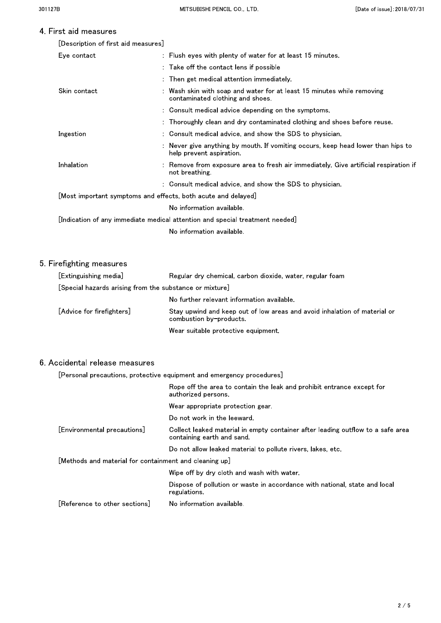## 4 First aid measures

| [Description of first aid measures] |  |  |  |  |
|-------------------------------------|--|--|--|--|
|-------------------------------------|--|--|--|--|

| Eye contact  | : Flush eyes with plenty of water for at least 15 minutes.                                                   |
|--------------|--------------------------------------------------------------------------------------------------------------|
|              | : Take off the contact lens if possible                                                                      |
|              | : Then get medical attention immediately.                                                                    |
| Skin contact | : Wash skin with soap and water for at least 15 minutes while removing<br>contaminated clothing and shoes.   |
|              | : Consult medical advice depending on the symptoms.                                                          |
|              | : Thoroughly clean and dry contaminated clothing and shoes before reuse.                                     |
| Ingestion    | : Consult medical advice, and show the SDS to physician.                                                     |
|              | : Never give anything by mouth. If vomiting occurs, keep head lower than hips to<br>help prevent aspiration. |
| Inhalation   | : Remove from exposure area to fresh air immediately. Give artificial respiration if<br>not breathing        |
|              | : Consult medical advice, and show the SDS to physician.                                                     |
|              | [Most important symptoms and effects, both acute and delayed]                                                |
|              | No information available.                                                                                    |
|              | [Indication of any immediate medical attention and special treatment needed]                                 |
|              | No information available.                                                                                    |
|              |                                                                                                              |

## 5. Firefighting measures

| [Extinguishing media]                                   | Regular dry chemical, carbon dioxide, water, regular foam                                            |  |
|---------------------------------------------------------|------------------------------------------------------------------------------------------------------|--|
| [Special hazards arising from the substance or mixture] |                                                                                                      |  |
|                                                         | No further relevant information available.                                                           |  |
| [Advice for firefighters]                               | Stay upwind and keep out of low areas and avoid inhalation of material or<br>combustion by-products. |  |
|                                                         | Wear suitable protective equipment.                                                                  |  |

## 6. Accidental release measures

[Personal precautions, protective equipment and emergency procedures]

|                                                        | Rope off the area to contain the leak and prohibit entrance except for<br>authorized persons                  |
|--------------------------------------------------------|---------------------------------------------------------------------------------------------------------------|
|                                                        | Wear appropriate protection gear.                                                                             |
|                                                        | Do not work in the leeward.                                                                                   |
| [Environmental precautions]                            | Collect leaked material in empty container after leading outflow to a safe area<br>containing earth and sand. |
|                                                        | Do not allow leaked material to pollute rivers, lakes, etc.                                                   |
| [Methods and material for containment and cleaning up] |                                                                                                               |
|                                                        | Wipe off by dry cloth and wash with water.                                                                    |
|                                                        | Dispose of pollution or waste in accordance with national, state and local<br>regulations.                    |
| [Reference to other sections]                          | No information available.                                                                                     |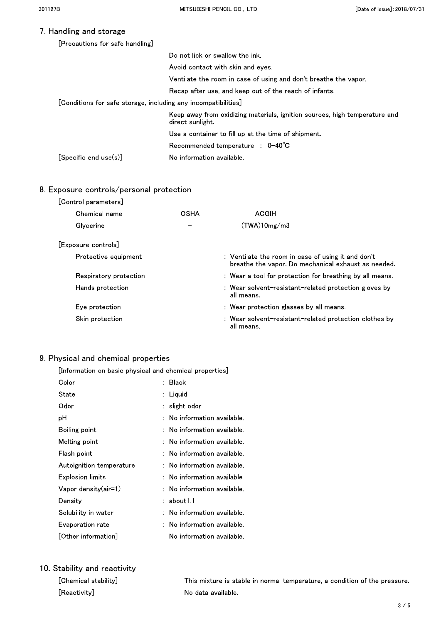## 7. Handling and storage

| [Precautions for safe handling] |  |
|---------------------------------|--|
|---------------------------------|--|

|                                                                          | Do not lick or swallow the ink.                                                                |
|--------------------------------------------------------------------------|------------------------------------------------------------------------------------------------|
|                                                                          | Avoid contact with skin and eyes                                                               |
|                                                                          | Ventilate the room in case of using and don't breathe the vapor.                               |
|                                                                          | Recap after use, and keep out of the reach of infants.                                         |
| $[$ Conditions for safe storage, including any incompatibilities $]\,\,$ |                                                                                                |
|                                                                          | Keep away from oxidizing materials, ignition sources, high temperature and<br>direct sunlight. |
|                                                                          | Use a container to fill up at the time of shipment.                                            |
|                                                                          | Recommended temperature : $0-40^{\circ}$ C                                                     |
| $[\mathsf{Specific}\ \mathsf{end}\ \mathsf{use}(\mathsf{s})]$            | No information available.                                                                      |
|                                                                          |                                                                                                |

## 8. Exposure controls/personal protection

| [Control parameters]   |             |                                                                                                           |
|------------------------|-------------|-----------------------------------------------------------------------------------------------------------|
| Chemical name          | <b>OSHA</b> | <b>ACGIH</b>                                                                                              |
| Glycerine              |             | (TWA)10mg/m3                                                                                              |
| [Exposure controls]    |             |                                                                                                           |
| Protective equipment   |             | : Ventilate the room in case of using it and don't<br>breathe the vapor. Do mechanical exhaust as needed. |
| Respiratory protection |             | : Wear a tool for protection for breathing by all means.                                                  |
| Hands protection       |             | : Wear solvent-resistant-related protection gloves by<br>all means.                                       |
| Eye protection         |             | : Wear protection glasses by all means.                                                                   |
| Skin protection        |             | : Wear solvent-resistant-related protection clothes by<br>all means.                                      |

### 9. Physical and chemical properties

[Information on basic physical and chemical properties]

| Color                                 | <b>Black</b>                |
|---------------------------------------|-----------------------------|
| State                                 | Liquid                      |
| Odor                                  | slight odor                 |
| рH                                    | . No information available. |
| Boiling point                         | No information available.   |
| Melting point                         | : No information available. |
| Flash point                           | No information available.   |
| Autoignition temperature              | : No information available. |
| Explosion limits                      | : No information available. |
| Vapor density(air=1)                  | No information available.   |
| Density                               | about 1.1                   |
| Solubility in water                   | No information available.   |
| Evaporation rate                      | No information available.   |
| $\lfloor$ Other information $\rfloor$ | No information available.   |

## 10. Stability and reactivity

| [Chemical stability] | This mixture is stable in normal temperature, a condition of the pressure. |
|----------------------|----------------------------------------------------------------------------|
| [Reactivity]         | . No data available                                                        |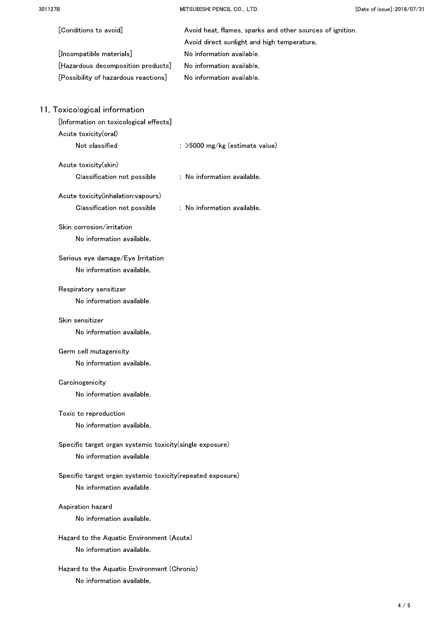MITSUBISHI PENCIL CO., LTD.

| [Conditions to avoid]<br>[Incompatible materials]<br>[Hazardous decomposition products]<br>[Possibility of hazardous reactions] | Avoid heat, flames, sparks and other sources of ignition.<br>Avoid direct sunlight and high temperature.<br>No information available.<br>No information available.<br>No information available. |
|---------------------------------------------------------------------------------------------------------------------------------|-------------------------------------------------------------------------------------------------------------------------------------------------------------------------------------------------|
| 11. Toxicological information                                                                                                   |                                                                                                                                                                                                 |
| [Information on toxicological effects]                                                                                          |                                                                                                                                                                                                 |
| Acute toxicity(oral)                                                                                                            |                                                                                                                                                                                                 |
| Not classified                                                                                                                  | : >5000 mg/kg (estimate value)                                                                                                                                                                  |
| Acute toxicity(skin)                                                                                                            |                                                                                                                                                                                                 |
| Classification not possible                                                                                                     | : No information available.                                                                                                                                                                     |
| Acute toxicity(inhalation:vapours)                                                                                              |                                                                                                                                                                                                 |
| Classification not possible                                                                                                     | $\therefore$ No information available.                                                                                                                                                          |
| Skin corrosion/irritation                                                                                                       |                                                                                                                                                                                                 |
| No information available.                                                                                                       |                                                                                                                                                                                                 |
| Serious eye damage/Eye Irritation                                                                                               |                                                                                                                                                                                                 |
| No information available.                                                                                                       |                                                                                                                                                                                                 |
| Respiratory sensitizer                                                                                                          |                                                                                                                                                                                                 |
| No information available.                                                                                                       |                                                                                                                                                                                                 |
| Skin sensitizer                                                                                                                 |                                                                                                                                                                                                 |
| No information available.                                                                                                       |                                                                                                                                                                                                 |
| Germ cell mutagenicity                                                                                                          |                                                                                                                                                                                                 |
| No information available.                                                                                                       |                                                                                                                                                                                                 |
| Carcinogenicity                                                                                                                 |                                                                                                                                                                                                 |
| No information available.                                                                                                       |                                                                                                                                                                                                 |
| Toxic to reproduction                                                                                                           |                                                                                                                                                                                                 |
| No information available.                                                                                                       |                                                                                                                                                                                                 |
| Specific target organ systemic toxicity(single exposure)                                                                        |                                                                                                                                                                                                 |
| No information available.                                                                                                       |                                                                                                                                                                                                 |
| Specific target organ systemic toxicity (repeated exposure)                                                                     |                                                                                                                                                                                                 |
| No information available.                                                                                                       |                                                                                                                                                                                                 |
| Aspiration hazard                                                                                                               |                                                                                                                                                                                                 |
| No information available.                                                                                                       |                                                                                                                                                                                                 |
| Hazard to the Aquatic Environment (Acute)                                                                                       |                                                                                                                                                                                                 |
| No information available.                                                                                                       |                                                                                                                                                                                                 |
| Hazard to the Aquatic Environment (Chronic)                                                                                     |                                                                                                                                                                                                 |
| No information available.                                                                                                       |                                                                                                                                                                                                 |